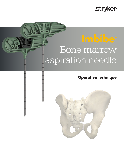## **stryker**

# Bone marrow aspiration needle

## **Operative technique**

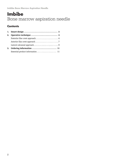## **Imbibe** Bone marrow aspiration needle

### **Contents**

| 2. |                          |  |
|----|--------------------------|--|
|    |                          |  |
|    |                          |  |
|    |                          |  |
| 3. | Ordering information  11 |  |
|    |                          |  |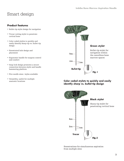## Smart design

#### **Product features**

- Bullet-tip stylet design for navigation
- Trocar cutting stylet to penetrate cortical bone
- Color coded stylets to quickly and easily identify sharp-tip vs. bullet-tip design
- Fenestrated hole design and placement
- Ergonomic handle for surgeon control and comfort
- Snap lock design promotes a secure connection between stylet and handle hammering platform
- Five needle sizes / styles available
- Versatility, useful for multiple



anatomic locations **Color coded stylets to quickly and easily identify sharp vs. bullet-tip design**



Fenestrations for simultaneous aspiration from multiple sites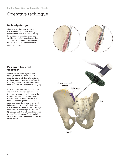#### **Bullet-tip design**

Sharp-tip needles may perforate cortical bone boundaries making BMA harvest more difficult. The bullet-tip BMA needle is available to navigate within the cortical bone boundaries. The rounded, bullet-tip is designed to deflect back into cancellous bone marrow spaces.





#### **Posterior iliac crest approach**

Palpate the posterior superior iliac spine (PSIS) and the prominence of the posterior iliac crest. The entry point for the bone marrow aspirate (BMA) needle into the posterior iliac crest must be no more than 8cm cranial to the PSIS (Fig. 3).

With a #11 or #15 scalpel, make a stab incision at the desired location over the iliac crest and place the sharp-tip (black) BMA needle (Fig. 2) through the stab incision down to bone. Use the needle tip to "palpate" the iliac crest and, once the center of the crest is located, seat the needle tip into the cortical bone with one or two brisk taps with a small, lightweight mallet (Fig. 3). Using a mallet to advance the needle through bone is the preferred technique as it affords the surgeon greater control of the needle.



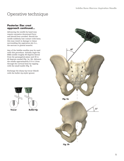#### **Posterior iliac crest approach continued...**

Advancing the needle by hand may require excessive downward force and should bew avoided. Should the needle suddenly lose contact with bone, this may result in damage to tissue surrounding the aspiration site (i.e., the sacrum or gluteal muscle).

Any of the Imbibe needles may be used with this procedure. Initially angle the BMA needle roughly 40 degrees lateral from the parasagittal plane and 35 to 40 degrees caudad (Fig. 3a, 3b). Advance the needle approximately 0.5 to 2.0cm through the cortical bone by tapping with the small mallet (Fig. 5).

Exchange the sharp-tip trocar (black) with the bullet-tip stylet (green).





Fig. 3b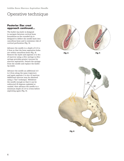#### **Posterior iliac crest approach continued...**

The bullet-tip stylet is designed to navigate between cortical bone boundaries as the rounded tip is designed to deflect the needle back into cancellous bone and to minimize risk of cortical perforation (Fig. 5).

Advance the needle to a depth of 2.0 to 2.5cm so that the bone aspiration holes are within cancellous bone (Fig. 4). Remove the stylet and aspirate 2 to 4cc of marrow using a 20cc syringe (a 20cc syringe provides greater vacuum for marrow aspiration). Detach the syringe from the needle and replace the bullettip stylet.

Advance the needle an additional 2.0 to 2.5cm along the same trajectory and again aspirate 2 to 4cc of marrow. Additional marrow may be obtained using a "fan" technique. Withdraw the needle enough so that it can be redirected 25 degrees cephalad or caudad, then advance the needle to a minimum depth of 2.0 to 2.5cm before aspirating again (Fig. 6).



Fig. 4



Fig. 5

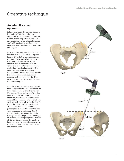#### **Anterior iliac crest approach**

Palpate and mark the anterior superior iliac spine (ASIS) . To minimize the amount of tissue traversed by the BMA needle, retract any overhanging skin and subcutaneous fat of the abdominal wall with the back of one hand and grasp the iliac crest between the thumb and fingers.

With a #11 or #15 scalpel, make a stab incision over the iliac crest at a point located 5 .0 to 6 .0cm posterolateral to the ASIS . The widest distance between the inner and outer tables of the anterior iliac crest is located in this region and best suited for bone marrow aspiration . Needle placement in this area may help avoid any potential injury to local nerves and blood vessels (i . e . the lateral femoral cutaneous nerve) which may traverse the iliac crest just proximal to the ASIS in some individuals (Fig . 7) .

Any of the Imbibe needles may be used with this procedure . Place the sharp-tip BMA needle through the stab incision . Use the needle tip to "palpate" the iliac crest and, once the center of the crest is located, seat the needle tip into the cortical bone with one or two brisk taps with a small, lightweight mallet (Fig . 8) . Angle the BMA needle approximately 35 to 40 degrees medial from the parasagittal plane in line with the iliac wing as gauged by palpation (Fig . 8) . Using a mallet to advance the needle through bone is the preferred technique as it affords the surgeon greater control of the needle . Advancing the needle by hand may require excessive downward force and should the needle suddenly lose contact with



Fig. 8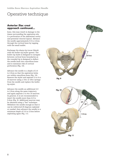#### **Anterior iliac crest approach continued...**

bone, this may result in damage to the tissue surrounding the aspiration site (i.e perforation of the abdominal cavity and potential visceral injury). Advance the needle approximately 0.5 to 2.0cm through the cortical bone by tapping with the small mallet.

Exchange the sharp-tip trocar (black) with the bullet-tip stylet (green). The bullet-tip stylet is designed to navigate between cortical bone boundaries as the rounded tip is designed to deflect the needle back into cancellous bone and to minimize risk of cortical perforation (Fig. 10).

Advance the needle to a depth of 2.0 to 2.5cm so that the aspiration holes are within cancellous bone (Fig. 10). Remove the stylet and aspirate 2 to 4 cc of marrow using a 10cc or 20cc syringe from the needle and replace the bullettip stylet.

Advance the needle an additional 2.0 to 2.5cm along the same trajectory and again aspirate 2 to 4cc of marrow. In general, it is not recommended to insert the needle more than 4.0 to 5.0cm (Fig. 9). Additional marrow may be obtained using a "fan" technique. Withdraw the needle enough so that it can be redirected 25 degrees cephalad or caudad, then advance the needle to a minimum depth of 2.0 to 2.5cm before aspirating again (Fig. 11).

![](_page_7_Picture_7.jpeg)

Fig. 11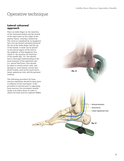#### **Lateral calcaneal approach**

Place an index finger on the insertion of the Calcaneal tendon and the thumb of the same hand on the origin of the plantar fascia, creating a semicircle . The circle is completed by an imaginary line over the lateral calcaneus between the tip of the index finger and the tip of the thumb . A mark can be placed on the lateral aspect of the heel at the midpoint of this imaginary line, which is the location for insertion of the needle (Fig . 12) . One should have a thorough understanding of the local anatomy of the aspiration site (i . e . lateral hind foot) . Care should be taken to avoid contact with, and damage to, local tissues, nerves and blood vessels, such as the sural nerve, lesser saphenous vein, and the perineal tendons .

The following procedure for bone marrow aspiration should be done prior to inflation of the tourniquet. If the procedure is started prior to aspirating bone marrow, the tourniquet usually needs to be taken down in order to obtain the bone marrow aspirate (BMA) .

![](_page_8_Picture_5.jpeg)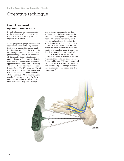#### **Lateral calcaneal approach continued...**

Do not osteomize the calcaneus prior to the aspiration of bone marrow, as this will make it extremely difficult to aspirate the marrow.

An 11-gauge (or 8-gauge) bone marrow aspiration needle containing a sharptip trocar is inserted through a small incision that is made in the skin on the lateral aspect of the calcaneus. C-arm guidance may be helpful in placement of this needle. The needle should be perpendicular to the lateral wall of the calcaneus and advanced into the bone approximately 2.0 to 2.5cm. A twisting motion can be used to insert the needle into the bone (Fig. 13). Avoid toggling of the needle as this can fracture cortical wall of the bone (i.e. the lateral wall of the calcaneus). When advancing the needle, the trocar is extremely sharp and in an individual with less dense bone, this trocar may pass through

and perforate the opposite cortical wall and potentially contaminate the case. Take care to gently advance the needle. The sharp-tip trocar (black) may be replaced with the bullet-tip stylet (green) once the cortical bone is pierced in order to minimize the risk of cortical bone perforation. Once the needle is seated, the trocar is removed. A syringe is attached to the aspiration portal to aspirate BMA from this location. If a greater volume of BMA is required, the needle can be advanced deeper. Additional BMA can be acquired through the use of a "fan" technique by first unthreading the syringe from the luer connection of the needle and then reinserting the

![](_page_9_Picture_6.jpeg)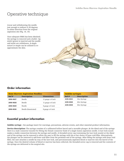trocar and withdrawing the needle just enough to redirect it 25 degrees in either direction from the original aspiration site (Fig. 14, 15).

Once adequate BMA has been obtained, the syringe is removed and a bullet- tip stylet (green) is inserted and the needle and stylet are withdrawn. A single suture or staple can be utilized to reapproximate the skin.

![](_page_10_Picture_4.jpeg)

#### **Order information**

| <b>Bone Marrow Aspiration Needles:</b> |                      |                   |  |  |  |
|----------------------------------------|----------------------|-------------------|--|--|--|
| Ref#                                   | <b>Description</b>   | <b>Dimensions</b> |  |  |  |
| 2090-9027                              | Needle               | 11 gauge x 4 inch |  |  |  |
| 2090-9028                              | Needle               | 11 gauge x 6 inch |  |  |  |
| 2090-9029                              | Needle               | 8 gauge x 6 inch  |  |  |  |
| 2090-9030                              | Needle (fenestrated) | 8 gauge x 6 inch  |  |  |  |

| <b>Imbibe syringes</b> |                    |  |  |  |
|------------------------|--------------------|--|--|--|
| Ref#                   | <b>Description</b> |  |  |  |
| 2105-0010              | 10cc Syringe       |  |  |  |
| 2105-0020              | 20cc Syringe       |  |  |  |
| 2105-0030              | 30cc Syringe       |  |  |  |

#### **Essential product information**

Imbibe syringe - See package insert for warnings, precautions, adverse events, and other essential product information.

Device description: The syringe consists of a calibrated hollow barrel and a movable plunger. At the distal end of the syringe there is a male connector (nozzle) for fitting the female connector (hub) of a single lumen aspiration needle. A luer-lock nozzle makes a stable connection between the syringe and needle. A threaded screw cap (containing the luer-lock nozzle) at the distal end of the syringe can be removed to allow the user to fill the syringe with his or her choice of bone void filler. Alternatively, the plunger can be removed to add bone void filler from the proximal end of the syringe. After filling the syringe with bone void filler, the user attaches a needle by way of the luer-lock, and percutaneously aspirates blood or marrow into the barrel of the syringe. Once the desired volume of blood or marrow has been collected, the threaded screw cap is removed and the contents of the syringe are delivered to the surgical site.